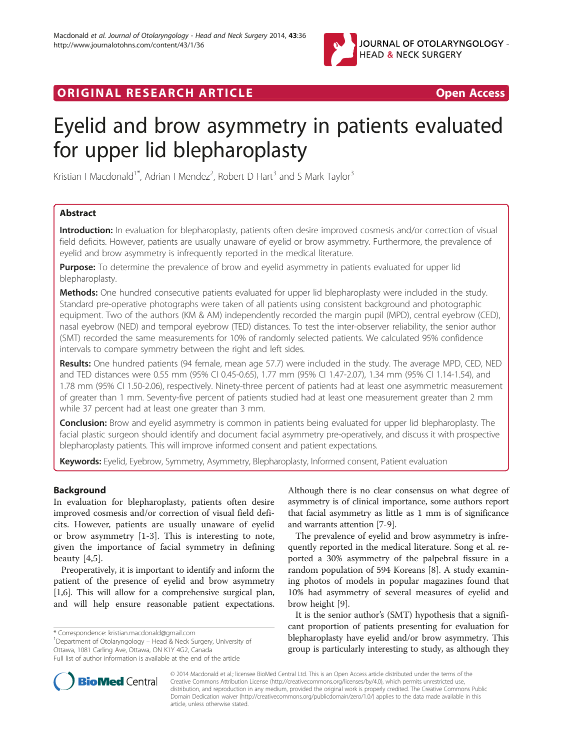

ORIGINAL RESEARCH ARTICLE **Example 20 and Service Contract ARTICLE** 20 and 20 and 20 and 20 and 20 and 20 and 20 and 20 and 20 and 20 and 20 and 20 and 20 and 20 and 20 and 20 and 20 and 20 and 20 and 20 and 20 and 20 and

# Eyelid and brow asymmetry in patients evaluated for upper lid blepharoplasty

Kristian I Macdonald<sup>1\*</sup>, Adrian I Mendez<sup>2</sup>, Robert D Hart<sup>3</sup> and S Mark Taylor<sup>3</sup>

# Abstract

Introduction: In evaluation for blepharoplasty, patients often desire improved cosmesis and/or correction of visual field deficits. However, patients are usually unaware of eyelid or brow asymmetry. Furthermore, the prevalence of eyelid and brow asymmetry is infrequently reported in the medical literature.

Purpose: To determine the prevalence of brow and eyelid asymmetry in patients evaluated for upper lid blepharoplasty.

Methods: One hundred consecutive patients evaluated for upper lid blepharoplasty were included in the study. Standard pre-operative photographs were taken of all patients using consistent background and photographic equipment. Two of the authors (KM & AM) independently recorded the margin pupil (MPD), central eyebrow (CED), nasal eyebrow (NED) and temporal eyebrow (TED) distances. To test the inter-observer reliability, the senior author (SMT) recorded the same measurements for 10% of randomly selected patients. We calculated 95% confidence intervals to compare symmetry between the right and left sides.

Results: One hundred patients (94 female, mean age 57.7) were included in the study. The average MPD, CED, NED and TED distances were 0.55 mm (95% CI 0.45-0.65), 1.77 mm (95% CI 1.47-2.07), 1.34 mm (95% CI 1.14-1.54), and 1.78 mm (95% CI 1.50-2.06), respectively. Ninety-three percent of patients had at least one asymmetric measurement of greater than 1 mm. Seventy-five percent of patients studied had at least one measurement greater than 2 mm while 37 percent had at least one greater than 3 mm.

**Conclusion:** Brow and eyelid asymmetry is common in patients being evaluated for upper lid blepharoplasty. The facial plastic surgeon should identify and document facial asymmetry pre-operatively, and discuss it with prospective blepharoplasty patients. This will improve informed consent and patient expectations.

Keywords: Eyelid, Eyebrow, Symmetry, Asymmetry, Blepharoplasty, Informed consent, Patient evaluation

# Background

In evaluation for blepharoplasty, patients often desire improved cosmesis and/or correction of visual field deficits. However, patients are usually unaware of eyelid or brow asymmetry [[1-3](#page-2-0)]. This is interesting to note, given the importance of facial symmetry in defining beauty [\[4,5](#page-2-0)].

Preoperatively, it is important to identify and inform the patient of the presence of eyelid and brow asymmetry [[1,](#page-2-0)[6](#page-3-0)]. This will allow for a comprehensive surgical plan, and will help ensure reasonable patient expectations.

\* Correspondence: [kristian.macdonald@gmail.com](mailto:kristian.macdonald@gmail.com) <sup>1</sup>

<sup>1</sup> Department of Otolaryngology – Head & Neck Surgery, University of Ottawa, 1081 Carling Ave, Ottawa, ON K1Y 4G2, Canada Full list of author information is available at the end of the article

The prevalence of eyelid and brow asymmetry is infrequently reported in the medical literature. Song et al. reported a 30% asymmetry of the palpebral fissure in a random population of 594 Koreans [\[8](#page-3-0)]. A study examining photos of models in popular magazines found that 10% had asymmetry of several measures of eyelid and brow height [[9\]](#page-3-0).

It is the senior author's (SMT) hypothesis that a significant proportion of patients presenting for evaluation for blepharoplasty have eyelid and/or brow asymmetry. This group is particularly interesting to study, as although they



© 2014 Macdonald et al.; licensee BioMed Central Ltd. This is an Open Access article distributed under the terms of the Creative Commons Attribution License (<http://creativecommons.org/licenses/by/4.0>), which permits unrestricted use, distribution, and reproduction in any medium, provided the original work is properly credited. The Creative Commons Public Domain Dedication waiver [\(http://creativecommons.org/publicdomain/zero/1.0/\)](http://creativecommons.org/publicdomain/zero/1.0/) applies to the data made available in this article, unless otherwise stated.

Although there is no clear consensus on what degree of asymmetry is of clinical importance, some authors report that facial asymmetry as little as 1 mm is of significance and warrants attention [\[7](#page-3-0)-[9](#page-3-0)].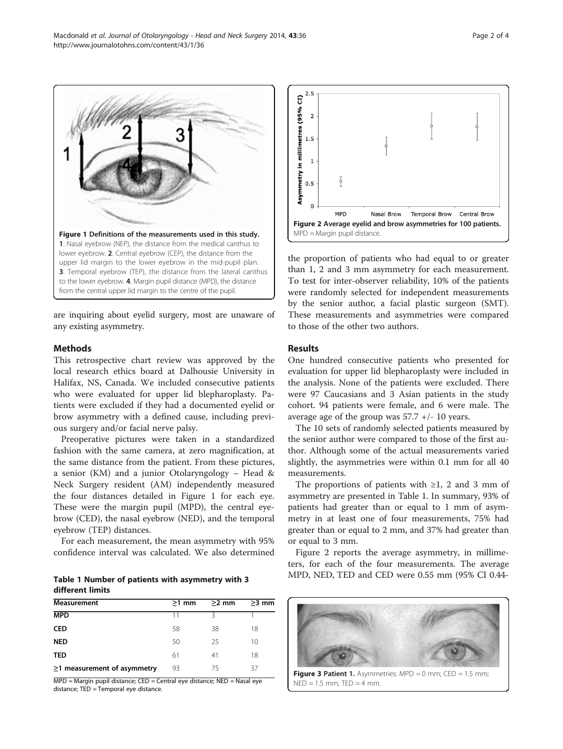are inquiring about eyelid surgery, most are unaware of any existing asymmetry.

## Methods

This retrospective chart review was approved by the local research ethics board at Dalhousie University in Halifax, NS, Canada. We included consecutive patients who were evaluated for upper lid blepharoplasty. Patients were excluded if they had a documented eyelid or brow asymmetry with a defined cause, including previous surgery and/or facial nerve palsy.

Preoperative pictures were taken in a standardized fashion with the same camera, at zero magnification, at the same distance from the patient. From these pictures, a senior (KM) and a junior Otolaryngology – Head & Neck Surgery resident (AM) independently measured the four distances detailed in Figure 1 for each eye. These were the margin pupil (MPD), the central eyebrow (CED), the nasal eyebrow (NED), and the temporal eyebrow (TEP) distances.

For each measurement, the mean asymmetry with 95% confidence interval was calculated. We also determined

Table 1 Number of patients with asymmetry with 3 different limits

| Measurement                       | $>1$ mm | $\geq$ 2 mm | $>3$ mm |
|-----------------------------------|---------|-------------|---------|
| <b>MPD</b>                        | 11      | ર           |         |
| <b>CED</b>                        | 58      | 38          | 18      |
| <b>NED</b>                        | 50      | 25          | 10      |
| <b>TED</b>                        | 61      | 41          | 18      |
| $\geq$ 1 measurement of asymmetry | 93      | 75          | 37      |

MPD = Margin pupil distance; CED = Central eye distance; NED = Nasal eye distance; TED = Temporal eye distance.

the proportion of patients who had equal to or greater than 1, 2 and 3 mm asymmetry for each measurement. To test for inter-observer reliability, 10% of the patients were randomly selected for independent measurements by the senior author, a facial plastic surgeon (SMT). These measurements and asymmetries were compared to those of the other two authors.

Figure 2 Average eyelid and brow asymmetries for 100 patients.

Temporal Brow Central Brow

Nasal Brow

# Results

MPD = Margin pupil distance.

Į

**MPD** 

 $2.5$ G  $695\%$  $\overline{\phantom{a}}$ 

 $1.5$ 

 $\overline{1}$ 

 $0.5$ 

 $\overline{a}$ 

Asymmetry in millimetres

One hundred consecutive patients who presented for evaluation for upper lid blepharoplasty were included in the analysis. None of the patients were excluded. There were 97 Caucasians and 3 Asian patients in the study cohort. 94 patients were female, and 6 were male. The average age of the group was  $57.7$  +/- 10 years.

The 10 sets of randomly selected patients measured by the senior author were compared to those of the first author. Although some of the actual measurements varied slightly, the asymmetries were within 0.1 mm for all 40 measurements.

The proportions of patients with  $\geq 1$ , 2 and 3 mm of asymmetry are presented in Table 1. In summary, 93% of patients had greater than or equal to 1 mm of asymmetry in at least one of four measurements, 75% had greater than or equal to 2 mm, and 37% had greater than or equal to 3 mm.

Figure 2 reports the average asymmetry, in millimeters, for each of the four measurements. The average MPD, NED, TED and CED were 0.55 mm (95% CI 0.44-



 $NED = 1.5$  mm;  $TED = 4$  mm.

<span id="page-1-0"></span>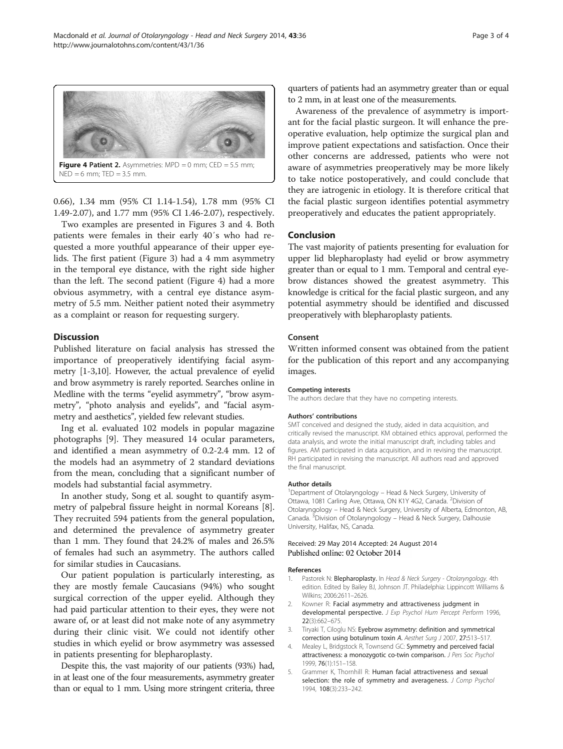<span id="page-2-0"></span>

0.66), 1.34 mm (95% CI 1.14-1.54), 1.78 mm (95% CI 1.49-2.07), and 1.77 mm (95% CI 1.46-2.07), respectively.

Two examples are presented in Figures [3](#page-1-0) and 4. Both patients were females in their early 40′s who had requested a more youthful appearance of their upper eyelids. The first patient (Figure [3\)](#page-1-0) had a 4 mm asymmetry in the temporal eye distance, with the right side higher than the left. The second patient (Figure 4) had a more obvious asymmetry, with a central eye distance asymmetry of 5.5 mm. Neither patient noted their asymmetry as a complaint or reason for requesting surgery.

# **Discussion**

Published literature on facial analysis has stressed the importance of preoperatively identifying facial asymmetry [1-3,[10](#page-3-0)]. However, the actual prevalence of eyelid and brow asymmetry is rarely reported. Searches online in Medline with the terms "eyelid asymmetry", "brow asymmetry", "photo analysis and eyelids", and "facial asymmetry and aesthetics", yielded few relevant studies.

Ing et al. evaluated 102 models in popular magazine photographs [\[9](#page-3-0)]. They measured 14 ocular parameters, and identified a mean asymmetry of 0.2-2.4 mm. 12 of the models had an asymmetry of 2 standard deviations from the mean, concluding that a significant number of models had substantial facial asymmetry.

In another study, Song et al. sought to quantify asymmetry of palpebral fissure height in normal Koreans [\[8](#page-3-0)]. They recruited 594 patients from the general population, and determined the prevalence of asymmetry greater than 1 mm. They found that 24.2% of males and 26.5% of females had such an asymmetry. The authors called for similar studies in Caucasians.

Our patient population is particularly interesting, as they are mostly female Caucasians (94%) who sought surgical correction of the upper eyelid. Although they had paid particular attention to their eyes, they were not aware of, or at least did not make note of any asymmetry during their clinic visit. We could not identify other studies in which eyelid or brow asymmetry was assessed in patients presenting for blepharoplasty.

Despite this, the vast majority of our patients (93%) had, in at least one of the four measurements, asymmetry greater than or equal to 1 mm. Using more stringent criteria, three

quarters of patients had an asymmetry greater than or equal to 2 mm, in at least one of the measurements.

Awareness of the prevalence of asymmetry is important for the facial plastic surgeon. It will enhance the preoperative evaluation, help optimize the surgical plan and improve patient expectations and satisfaction. Once their other concerns are addressed, patients who were not aware of asymmetries preoperatively may be more likely to take notice postoperatively, and could conclude that they are iatrogenic in etiology. It is therefore critical that the facial plastic surgeon identifies potential asymmetry preoperatively and educates the patient appropriately.

## Conclusion

The vast majority of patients presenting for evaluation for upper lid blepharoplasty had eyelid or brow asymmetry greater than or equal to 1 mm. Temporal and central eyebrow distances showed the greatest asymmetry. This knowledge is critical for the facial plastic surgeon, and any potential asymmetry should be identified and discussed preoperatively with blepharoplasty patients.

## Consent

Written informed consent was obtained from the patient for the publication of this report and any accompanying images.

## Competing interests

The authors declare that they have no competing interests.

#### Authors' contributions

SMT conceived and designed the study, aided in data acquisition, and critically revised the manuscript. KM obtained ethics approval, performed the data analysis, and wrote the initial manuscript draft, including tables and figures. AM participated in data acquisition, and in revising the manuscript. RH participated in revising the manuscript. All authors read and approved the final manuscript.

#### Author details

<sup>1</sup>Department of Otolaryngology - Head & Neck Surgery, University of Ottawa, 1081 Carling Ave, Ottawa, ON K1Y 4G2, Canada. <sup>2</sup>Division of Otolaryngology – Head & Neck Surgery, University of Alberta, Edmonton, AB, Canada. <sup>3</sup> Division of Otolaryngology – Head & Neck Surgery, Dalhousie University, Halifax, NS, Canada.

#### Received: 29 May 2014 Accepted: 24 August 2014 Published online: 02 October 2014

#### References

- 1. Pastorek N: Blepharoplasty. In Head & Neck Surgery Otolaryngology. 4th edition. Edited by Bailey BJ, Johnson JT. Philadelphia: Lippincott Williams & Wilkins; 2006:2611–2626.
- 2. Kowner R: Facial asymmetry and attractiveness judgment in developmental perspective. J Exp Psychol Hum Percept Perform 1996, 22(3):662–675.
- 3. Tiryaki T, Ciloglu NS: Eyebrow asymmetry: definition and symmetrical correction using botulinum toxin A. Aesthet Surg J 2007, 27:513–517.
- 4. Mealey L, Bridgstock R, Townsend GC: Symmetry and perceived facial attractiveness: a monozygotic co-twin comparison. J Pers Soc Psychol 1999, 76(1):151–158.
- 5. Grammer K, Thornhill R: Human facial attractiveness and sexual selection: the role of symmetry and averageness. J Comp Psychol 1994, 108(3):233–242.